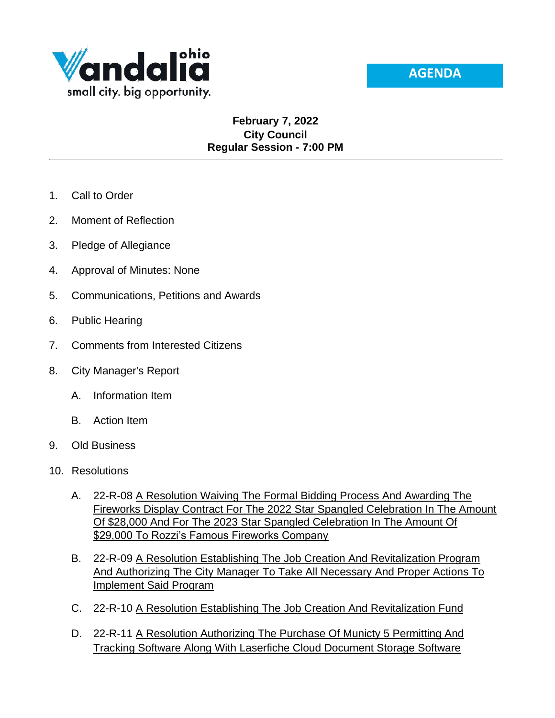

## **February 7, 2022 City Council Regular Session - 7:00 PM**

- 1. Call to Order
- 2. Moment of Reflection
- 3. Pledge of Allegiance
- 4. Approval of Minutes: None
- 5. Communications, Petitions and Awards
- 6. Public Hearing
- 7. Comments from Interested Citizens
- 8. City Manager's Report
	- A. Information Item
	- B. Action Item
- 9. Old Business
- 10. Resolutions
	- A. 22-R-08 A Resolution Waiving The Formal Bidding Process And Awarding The Fireworks Display Contract For The 2022 Star Spangled Celebration In The Amount Of \$28,000 And For The 2023 Star Spangled Celebration In The Amount Of \$29,000 To Rozzi's Famous Fireworks Company
	- B. 22-R-09 A Resolution Establishing The Job Creation And Revitalization Program And Authorizing The City Manager To Take All Necessary And Proper Actions To Implement Said Program
	- C. 22-R-10 A Resolution Establishing The Job Creation And Revitalization Fund
	- D. 22-R-11 A Resolution Authorizing The Purchase Of Municty 5 Permitting And Tracking Software Along With Laserfiche Cloud Document Storage Software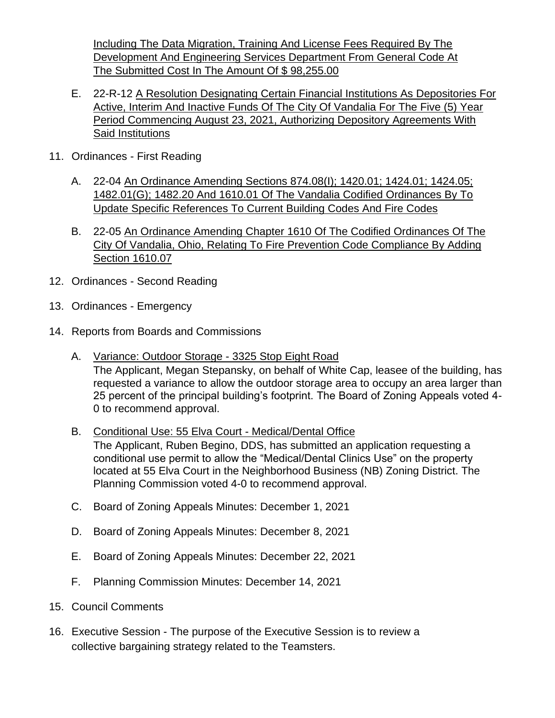Including The Data Migration, Training And License Fees Required By The Development And Engineering Services Department From General Code At The Submitted Cost In The Amount Of \$ 98,255.00

- E. 22-R-12 A Resolution Designating Certain Financial Institutions As Depositories For Active, Interim And Inactive Funds Of The City Of Vandalia For The Five (5) Year Period Commencing August 23, 2021, Authorizing Depository Agreements With Said Institutions
- 11. Ordinances First Reading
	- A. 22-04 An Ordinance Amending Sections 874.08(I); 1420.01; 1424.01; 1424.05; 1482.01(G); 1482.20 And 1610.01 Of The Vandalia Codified Ordinances By To Update Specific References To Current Building Codes And Fire Codes
	- B. 22-05 An Ordinance Amending Chapter 1610 Of The Codified Ordinances Of The City Of Vandalia, Ohio, Relating To Fire Prevention Code Compliance By Adding Section 1610.07
- 12. Ordinances Second Reading
- 13. Ordinances Emergency
- 14. Reports from Boards and Commissions
	- A. Variance: Outdoor Storage 3325 Stop Eight Road The Applicant, Megan Stepansky, on behalf of White Cap, leasee of the building, has requested a variance to allow the outdoor storage area to occupy an area larger than 25 percent of the principal building's footprint. The Board of Zoning Appeals voted 4- 0 to recommend approval.
	- B. Conditional Use: 55 Elva Court Medical/Dental Office The Applicant, Ruben Begino, DDS, has submitted an application requesting a conditional use permit to allow the "Medical/Dental Clinics Use" on the property located at 55 Elva Court in the Neighborhood Business (NB) Zoning District. The Planning Commission voted 4-0 to recommend approval.
	- C. Board of Zoning Appeals Minutes: December 1, 2021
	- D. Board of Zoning Appeals Minutes: December 8, 2021
	- E. Board of Zoning Appeals Minutes: December 22, 2021
	- F. Planning Commission Minutes: December 14, 2021
- 15. Council Comments
- 16. Executive Session The purpose of the Executive Session is to review a collective bargaining strategy related to the Teamsters.